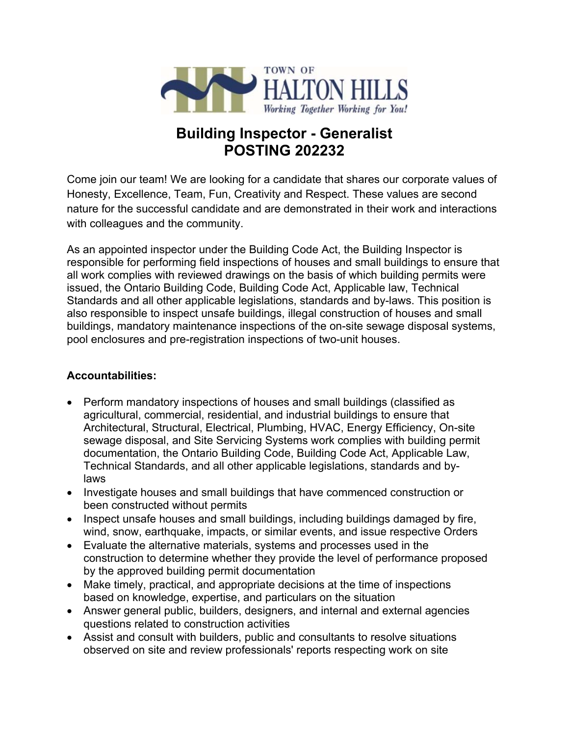

# **Building Inspector - Generalist POSTING 202232**

Come join our team! We are looking for a candidate that shares our corporate values of Honesty, Excellence, Team, Fun, Creativity and Respect. These values are second nature for the successful candidate and are demonstrated in their work and interactions with colleagues and the community.

As an appointed inspector under the Building Code Act, the Building Inspector is responsible for performing field inspections of houses and small buildings to ensure that all work complies with reviewed drawings on the basis of which building permits were issued, the Ontario Building Code, Building Code Act, Applicable law, Technical Standards and all other applicable legislations, standards and by-laws. This position is also responsible to inspect unsafe buildings, illegal construction of houses and small buildings, mandatory maintenance inspections of the on-site sewage disposal systems, pool enclosures and pre-registration inspections of two-unit houses.

## **Accountabilities:**

- Perform mandatory inspections of houses and small buildings (classified as agricultural, commercial, residential, and industrial buildings to ensure that Architectural, Structural, Electrical, Plumbing, HVAC, Energy Efficiency, On-site sewage disposal, and Site Servicing Systems work complies with building permit documentation, the Ontario Building Code, Building Code Act, Applicable Law, Technical Standards, and all other applicable legislations, standards and bylaws
- Investigate houses and small buildings that have commenced construction or been constructed without permits
- Inspect unsafe houses and small buildings, including buildings damaged by fire, wind, snow, earthquake, impacts, or similar events, and issue respective Orders
- Evaluate the alternative materials, systems and processes used in the construction to determine whether they provide the level of performance proposed by the approved building permit documentation
- Make timely, practical, and appropriate decisions at the time of inspections based on knowledge, expertise, and particulars on the situation
- Answer general public, builders, designers, and internal and external agencies questions related to construction activities
- Assist and consult with builders, public and consultants to resolve situations observed on site and review professionals' reports respecting work on site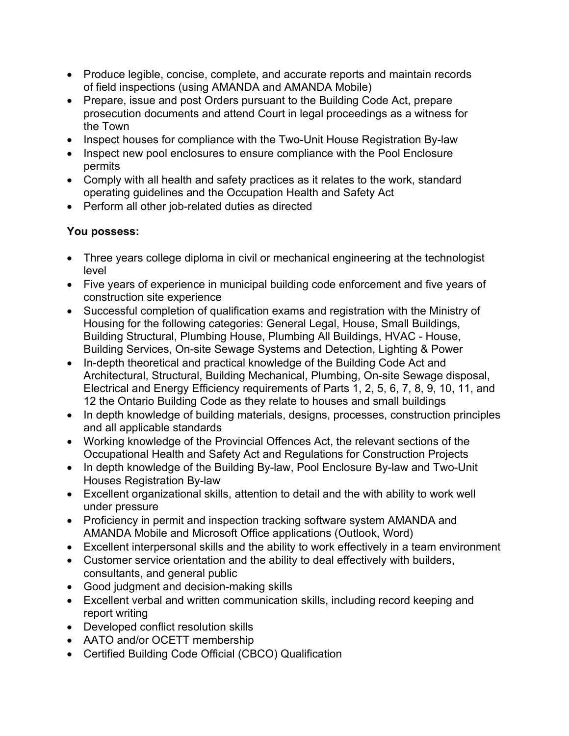- Produce legible, concise, complete, and accurate reports and maintain records of field inspections (using AMANDA and AMANDA Mobile)
- Prepare, issue and post Orders pursuant to the Building Code Act, prepare prosecution documents and attend Court in legal proceedings as a witness for the Town
- Inspect houses for compliance with the Two-Unit House Registration By-law
- Inspect new pool enclosures to ensure compliance with the Pool Enclosure permits
- Comply with all health and safety practices as it relates to the work, standard operating guidelines and the Occupation Health and Safety Act
- Perform all other job-related duties as directed

## **You possess:**

- Three years college diploma in civil or mechanical engineering at the technologist level
- Five years of experience in municipal building code enforcement and five years of construction site experience
- Successful completion of qualification exams and registration with the Ministry of Housing for the following categories: General Legal, House, Small Buildings, Building Structural, Plumbing House, Plumbing All Buildings, HVAC - House, Building Services, On-site Sewage Systems and Detection, Lighting & Power
- In-depth theoretical and practical knowledge of the Building Code Act and Architectural, Structural, Building Mechanical, Plumbing, On-site Sewage disposal, Electrical and Energy Efficiency requirements of Parts 1, 2, 5, 6, 7, 8, 9, 10, 11, and 12 the Ontario Building Code as they relate to houses and small buildings
- In depth knowledge of building materials, designs, processes, construction principles and all applicable standards
- Working knowledge of the Provincial Offences Act, the relevant sections of the Occupational Health and Safety Act and Regulations for Construction Projects
- In depth knowledge of the Building By-law, Pool Enclosure By-law and Two-Unit Houses Registration By-law
- Excellent organizational skills, attention to detail and the with ability to work well under pressure
- Proficiency in permit and inspection tracking software system AMANDA and AMANDA Mobile and Microsoft Office applications (Outlook, Word)
- Excellent interpersonal skills and the ability to work effectively in a team environment
- Customer service orientation and the ability to deal effectively with builders, consultants, and general public
- Good judgment and decision-making skills
- Excellent verbal and written communication skills, including record keeping and report writing
- Developed conflict resolution skills
- AATO and/or OCETT membership
- Certified Building Code Official (CBCO) Qualification